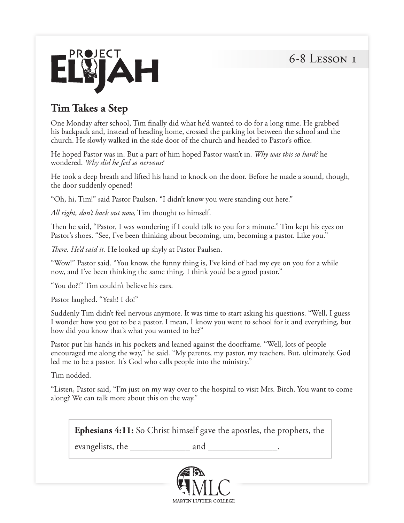

## **Tim Takes a Step**

One Monday after school, Tim finally did what he'd wanted to do for a long time. He grabbed his backpack and, instead of heading home, crossed the parking lot between the school and the church. He slowly walked in the side door of the church and headed to Pastor's office.

He hoped Pastor was in. But a part of him hoped Pastor wasn't in. *Why was this so hard?* he wondered. *Why did he feel so nervous?* 

He took a deep breath and lifted his hand to knock on the door. Before he made a sound, though, the door suddenly opened!

"Oh, hi, Tim!" said Pastor Paulsen. "I didn't know you were standing out here."

*All right, don't back out now,* Tim thought to himself.

Then he said, "Pastor, I was wondering if I could talk to you for a minute." Tim kept his eyes on Pastor's shoes. "See, I've been thinking about becoming, um, becoming a pastor. Like you."

*There. He'd said it.* He looked up shyly at Pastor Paulsen.

"Wow!" Pastor said. "You know, the funny thing is, I've kind of had my eye on you for a while now, and I've been thinking the same thing. I think you'd be a good pastor."

"You do?!" Tim couldn't believe his ears.

Pastor laughed. "Yeah! I do!"

Suddenly Tim didn't feel nervous anymore. It was time to start asking his questions. "Well, I guess I wonder how you got to be a pastor. I mean, I know you went to school for it and everything, but how did you know that's what you wanted to be?"

Pastor put his hands in his pockets and leaned against the doorframe. "Well, lots of people encouraged me along the way," he said. "My parents, my pastor, my teachers. But, ultimately, God led me to be a pastor. It's God who calls people into the ministry."

Tim nodded.

"Listen, Pastor said, "I'm just on my way over to the hospital to visit Mrs. Birch. You want to come along? We can talk more about this on the way."